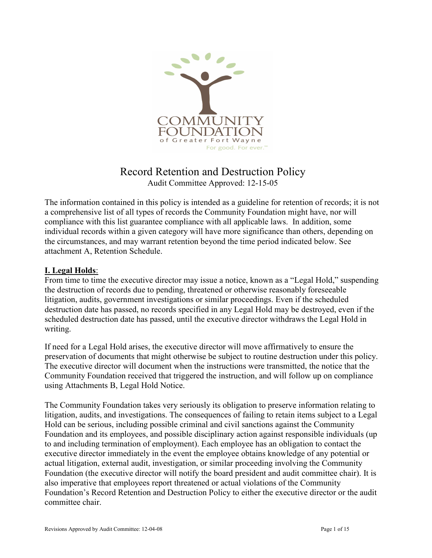

# Record Retention and Destruction Policy Audit Committee Approved: 12-15-05

The information contained in this policy is intended as a guideline for retention of records; it is not a comprehensive list of all types of records the Community Foundation might have, nor will compliance with this list guarantee compliance with all applicable laws. In addition, some individual records within a given category will have more significance than others, depending on the circumstances, and may warrant retention beyond the time period indicated below. See attachment A, Retention Schedule.

#### I. Legal Holds:

From time to time the executive director may issue a notice, known as a "Legal Hold," suspending the destruction of records due to pending, threatened or otherwise reasonably foreseeable litigation, audits, government investigations or similar proceedings. Even if the scheduled destruction date has passed, no records specified in any Legal Hold may be destroyed, even if the scheduled destruction date has passed, until the executive director withdraws the Legal Hold in writing.

If need for a Legal Hold arises, the executive director will move affirmatively to ensure the preservation of documents that might otherwise be subject to routine destruction under this policy. The executive director will document when the instructions were transmitted, the notice that the Community Foundation received that triggered the instruction, and will follow up on compliance using Attachments B, Legal Hold Notice.

The Community Foundation takes very seriously its obligation to preserve information relating to litigation, audits, and investigations. The consequences of failing to retain items subject to a Legal Hold can be serious, including possible criminal and civil sanctions against the Community Foundation and its employees, and possible disciplinary action against responsible individuals (up to and including termination of employment). Each employee has an obligation to contact the executive director immediately in the event the employee obtains knowledge of any potential or actual litigation, external audit, investigation, or similar proceeding involving the Community Foundation (the executive director will notify the board president and audit committee chair). It is also imperative that employees report threatened or actual violations of the Community Foundation's Record Retention and Destruction Policy to either the executive director or the audit committee chair.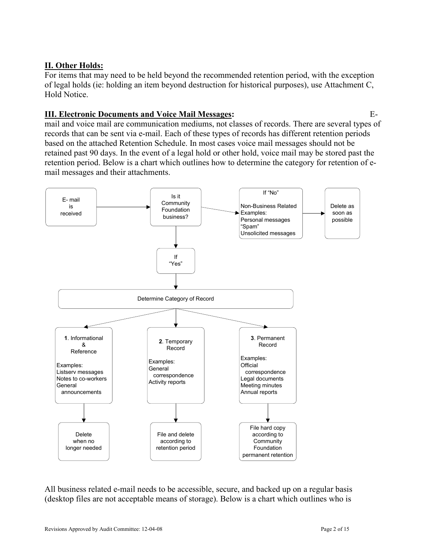### II. Other Holds:

For items that may need to be held beyond the recommended retention period, with the exception of legal holds (ie: holding an item beyond destruction for historical purposes), use Attachment C, Hold Notice.

#### III. Electronic Documents and Voice Mail Messages: E-

mail and voice mail are communication mediums, not classes of records. There are several types of records that can be sent via e-mail. Each of these types of records has different retention periods based on the attached Retention Schedule. In most cases voice mail messages should not be retained past 90 days. In the event of a legal hold or other hold, voice mail may be stored past the retention period. Below is a chart which outlines how to determine the category for retention of email messages and their attachments.



All business related e-mail needs to be accessible, secure, and backed up on a regular basis (desktop files are not acceptable means of storage). Below is a chart which outlines who is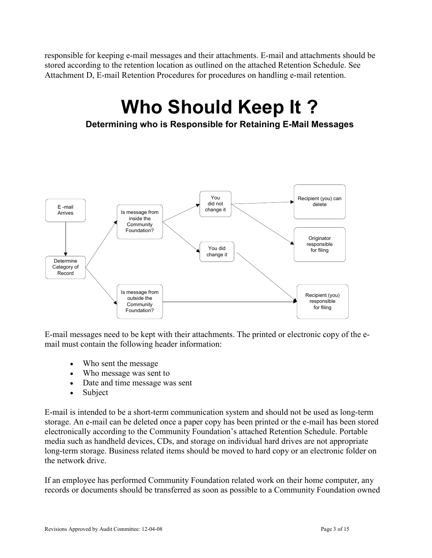responsible for keeping e-mail messages and their attachments. E-mail and attachments should be stored according to the retention location as outlined on the attached Retention Schedule. See Attachment D, E-mail Retention Procedures for procedures on handling e-mail retention.

# Who Should Keep It ?

Determining who is Responsible for Retaining E-Mail Messages



E-mail messages need to be kept with their attachments. The printed or electronic copy of the email must contain the following header information:

- Who sent the message
- Who message was sent to
- Date and time message was sent
- Subject

E-mail is intended to be a short-term communication system and should not be used as long-term storage. An e-mail can be deleted once a paper copy has been printed or the e-mail has been stored electronically according to the Community Foundation's attached Retention Schedule. Portable media such as handheld devices, CDs, and storage on individual hard drives are not appropriate long-term storage. Business related items should be moved to hard copy or an electronic folder on the network drive.

If an employee has performed Community Foundation related work on their home computer, any records or documents should be transferred as soon as possible to a Community Foundation owned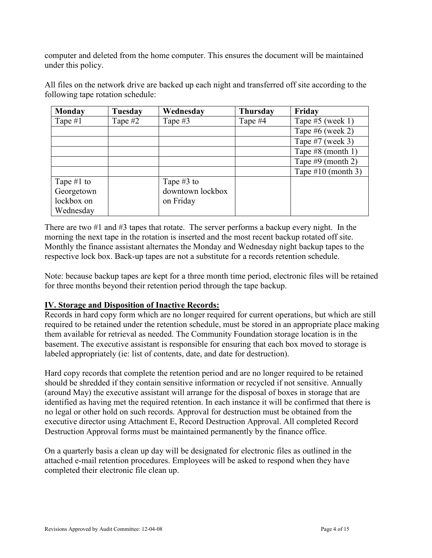computer and deleted from the home computer. This ensures the document will be maintained under this policy.

All files on the network drive are backed up each night and transferred off site according to the following tape rotation schedule:

| <b>Monday</b> | Tuesday | Wednesday        | <b>Thursday</b> | Friday               |
|---------------|---------|------------------|-----------------|----------------------|
| Tape $#1$     | Tape #2 | Tape #3          | Tape #4         | Tape $#5$ (week 1)   |
|               |         |                  |                 | Tape $#6$ (week 2)   |
|               |         |                  |                 | Tape $#7$ (week 3)   |
|               |         |                  |                 | Tape #8 (month 1)    |
|               |         |                  |                 | Tape $#9$ (month 2)  |
|               |         |                  |                 | Tape $#10$ (month 3) |
| Tape $#1$ to  |         | Tape $#3$ to     |                 |                      |
| Georgetown    |         | downtown lockbox |                 |                      |
| lockbox on    |         | on Friday        |                 |                      |
| Wednesday     |         |                  |                 |                      |

There are two #1 and #3 tapes that rotate. The server performs a backup every night. In the morning the next tape in the rotation is inserted and the most recent backup rotated off site. Monthly the finance assistant alternates the Monday and Wednesday night backup tapes to the respective lock box. Back-up tapes are not a substitute for a records retention schedule.

Note: because backup tapes are kept for a three month time period, electronic files will be retained for three months beyond their retention period through the tape backup.

#### IV. Storage and Disposition of Inactive Records:

Records in hard copy form which are no longer required for current operations, but which are still required to be retained under the retention schedule, must be stored in an appropriate place making them available for retrieval as needed. The Community Foundation storage location is in the basement. The executive assistant is responsible for ensuring that each box moved to storage is labeled appropriately (ie: list of contents, date, and date for destruction).

Hard copy records that complete the retention period and are no longer required to be retained should be shredded if they contain sensitive information or recycled if not sensitive. Annually (around May) the executive assistant will arrange for the disposal of boxes in storage that are identified as having met the required retention. In each instance it will be confirmed that there is no legal or other hold on such records. Approval for destruction must be obtained from the executive director using Attachment E, Record Destruction Approval. All completed Record Destruction Approval forms must be maintained permanently by the finance office.

On a quarterly basis a clean up day will be designated for electronic files as outlined in the attached e-mail retention procedures. Employees will be asked to respond when they have completed their electronic file clean up.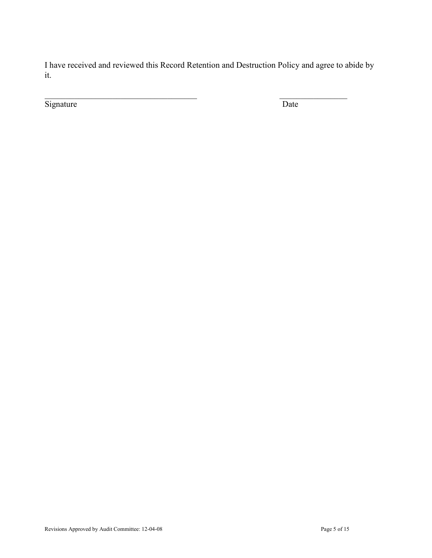I have received and reviewed this Record Retention and Destruction Policy and agree to abide by it.

Signature Date

 $\_$  , and the contribution of the contribution of  $\mathcal{L}_\mathcal{A}$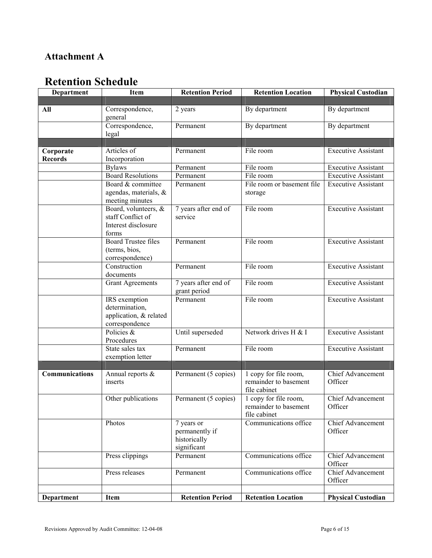# Attachment A

# Retention Schedule

| Department     | <b>Item</b>                                                                 | <b>Retention Period</b>                                     | <b>Retention Location</b>                                                  | <b>Physical Custodian</b>           |
|----------------|-----------------------------------------------------------------------------|-------------------------------------------------------------|----------------------------------------------------------------------------|-------------------------------------|
|                |                                                                             |                                                             |                                                                            |                                     |
| All            | Correspondence,<br>general                                                  | 2 years                                                     | By department                                                              | By department                       |
|                | Correspondence,<br>legal                                                    | Permanent                                                   | By department                                                              | By department                       |
|                |                                                                             |                                                             |                                                                            |                                     |
| Corporate      | Articles of                                                                 | Permanent                                                   | File room                                                                  | <b>Executive Assistant</b>          |
| <b>Records</b> | Incorporation                                                               |                                                             |                                                                            |                                     |
|                | <b>Bylaws</b>                                                               | Permanent                                                   | File room                                                                  | <b>Executive Assistant</b>          |
|                | <b>Board Resolutions</b>                                                    | Permanent                                                   | File room                                                                  | <b>Executive Assistant</b>          |
|                | Board & committee<br>agendas, materials, &<br>meeting minutes               | Permanent                                                   | File room or basement file<br>storage                                      | <b>Executive Assistant</b>          |
|                | Board, volunteers, &<br>staff Conflict of<br>Interest disclosure<br>forms   | 7 years after end of<br>service                             | File room                                                                  | <b>Executive Assistant</b>          |
|                | <b>Board Trustee files</b><br>(terms, bios,<br>correspondence)              | Permanent                                                   | File room                                                                  | <b>Executive Assistant</b>          |
|                | Construction<br>documents                                                   | Permanent                                                   | File room                                                                  | <b>Executive Assistant</b>          |
|                | <b>Grant Agreements</b>                                                     | 7 years after end of<br>grant period                        | File room                                                                  | <b>Executive Assistant</b>          |
|                | IRS exemption<br>determination,<br>application, & related<br>correspondence | Permanent                                                   | File room                                                                  | <b>Executive Assistant</b>          |
|                | Policies $\&$<br>Procedures                                                 | Until superseded                                            | Network drives H & I                                                       | <b>Executive Assistant</b>          |
|                | State sales tax<br>exemption letter                                         | Permanent                                                   | File room                                                                  | <b>Executive Assistant</b>          |
|                |                                                                             |                                                             |                                                                            |                                     |
| Communications | Annual reports &<br>inserts                                                 | Permanent (5 copies)                                        | $\frac{1}{1}$ copy for file room,<br>remainder to basement<br>file cabinet | Chief Advancement<br>Officer        |
|                | Other publications                                                          | Permanent (5 copies)                                        | 1 copy for file room,<br>remainder to basement<br>file cabinet             | Chief Advancement<br>Officer        |
|                | Photos                                                                      | 7 years or<br>permanently if<br>historically<br>significant | Communications office                                                      | <b>Chief Advancement</b><br>Officer |
|                | Press clippings                                                             | Permanent                                                   | Communications office                                                      | Chief Advancement<br>Officer        |
|                | Press releases                                                              | Permanent                                                   | Communications office                                                      | Chief Advancement<br>Officer        |
| Department     | Item                                                                        | <b>Retention Period</b>                                     | <b>Retention Location</b>                                                  | <b>Physical Custodian</b>           |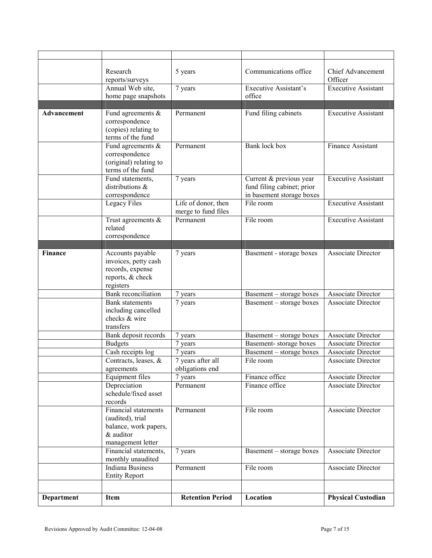|                    | Research<br>reports/surveys            | 5 years                      | Communications office                 | <b>Chief Advancement</b><br>Officer      |
|--------------------|----------------------------------------|------------------------------|---------------------------------------|------------------------------------------|
|                    | Annual Web site,                       | 7 years                      | <b>Executive Assistant's</b>          | <b>Executive Assistant</b>               |
|                    | home page snapshots                    |                              | office                                |                                          |
|                    |                                        |                              |                                       |                                          |
| <b>Advancement</b> | Fund agreements $\&$                   | Permanent                    | Fund filing cabinets                  | <b>Executive Assistant</b>               |
|                    | correspondence<br>(copies) relating to |                              |                                       |                                          |
|                    | terms of the fund                      |                              |                                       |                                          |
|                    | Fund agreements $\&$                   | Permanent                    | <b>Bank</b> lock box                  | Finance Assistant                        |
|                    | correspondence                         |                              |                                       |                                          |
|                    | (original) relating to                 |                              |                                       |                                          |
|                    | terms of the fund                      |                              |                                       |                                          |
|                    | Fund statements,                       | 7 years                      | Current & previous year               | Executive Assistant                      |
|                    | distributions $\&$                     |                              | fund filing cabinet; prior            |                                          |
|                    | correspondence                         |                              | in basement storage boxes             |                                          |
|                    | Legacy Files                           | Life of donor, then          | File room                             | <b>Executive Assistant</b>               |
|                    |                                        | merge to fund files          |                                       |                                          |
|                    | Trust agreements $\&$                  | Permanent                    | File room                             | <b>Executive Assistant</b>               |
|                    | related                                |                              |                                       |                                          |
|                    | correspondence                         |                              |                                       |                                          |
|                    |                                        |                              |                                       |                                          |
| <b>Finance</b>     | Accounts payable                       | 7 years                      | Basement - storage boxes              | <b>Associate Director</b>                |
|                    | invoices, petty cash                   |                              |                                       |                                          |
|                    | records, expense                       |                              |                                       |                                          |
|                    | reports, & check                       |                              |                                       |                                          |
|                    | registers                              |                              |                                       |                                          |
|                    | Bank reconciliation                    | 7 years                      | Basement - storage boxes              | Associate Director                       |
|                    | <b>Bank</b> statements                 | 7 years                      | Basement - storage boxes              | Associate Director                       |
|                    | including cancelled                    |                              |                                       |                                          |
|                    | checks & wire                          |                              |                                       |                                          |
|                    | transfers                              |                              |                                       |                                          |
|                    | Bank deposit records                   | 7 years                      | Basement - storage boxes              | Associate Director                       |
|                    | <b>Budgets</b><br>Cash receipts log    | 7 years                      | Basement-storage boxes                | Associate Director<br>Associate Director |
|                    | Contracts, leases, &                   | 7 years<br>7 years after all | Basement - storage boxes<br>File room | <b>Associate Director</b>                |
|                    | agreements                             | obligations end              |                                       |                                          |
|                    | Equipment files                        | 7 years                      | Finance office                        | Associate Director                       |
|                    | Depreciation                           | Permanent                    | Finance office                        | <b>Associate Director</b>                |
|                    | schedule/fixed asset                   |                              |                                       |                                          |
|                    | records                                |                              |                                       |                                          |
|                    | <b>Financial statements</b>            | Permanent                    | File room                             | <b>Associate Director</b>                |
|                    | (audited), trial                       |                              |                                       |                                          |
|                    | balance, work papers,                  |                              |                                       |                                          |
|                    | & auditor                              |                              |                                       |                                          |
|                    | management letter                      |                              |                                       |                                          |
|                    | Financial statements,                  | 7 years                      | Basement – storage boxes              | Associate Director                       |
|                    | monthly unaudited                      |                              |                                       |                                          |
|                    | <b>Indiana Business</b>                | Permanent                    | File room                             | Associate Director                       |
|                    | <b>Entity Report</b>                   |                              |                                       |                                          |
|                    |                                        |                              |                                       |                                          |
| Department         | <b>Item</b>                            | <b>Retention Period</b>      | Location                              | <b>Physical Custodian</b>                |
|                    |                                        |                              |                                       |                                          |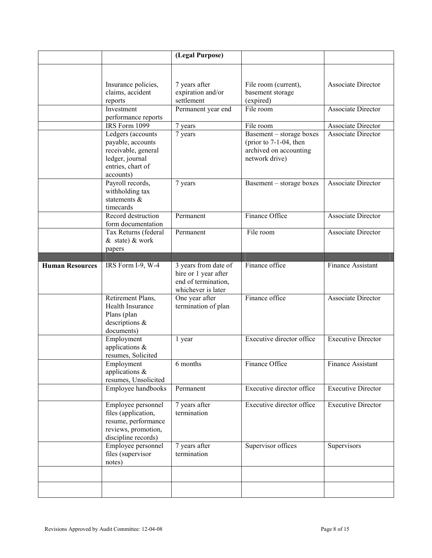|                        |                                                                                                                    | (Legal Purpose)                                                                           |                                                                                                   |                           |
|------------------------|--------------------------------------------------------------------------------------------------------------------|-------------------------------------------------------------------------------------------|---------------------------------------------------------------------------------------------------|---------------------------|
|                        |                                                                                                                    |                                                                                           |                                                                                                   |                           |
|                        | Insurance policies,<br>claims, accident<br>reports                                                                 | 7 years after<br>expiration and/or<br>settlement                                          | File room (current),<br>basement storage<br>(expired)                                             | <b>Associate Director</b> |
|                        | Investment<br>performance reports                                                                                  | Permanent year end                                                                        | File room                                                                                         | <b>Associate Director</b> |
|                        | IRS Form 1099                                                                                                      | 7 years                                                                                   | File room                                                                                         | Associate Director        |
|                        | Ledgers (accounts<br>payable, accounts<br>receivable, general<br>ledger, journal<br>entries, chart of<br>accounts) | 7 years                                                                                   | Basement - storage boxes<br>(prior to $7-1-04$ , then<br>archived on accounting<br>network drive) | <b>Associate Director</b> |
|                        | Payroll records,<br>withholding tax<br>statements &<br>timecards                                                   | 7 years                                                                                   | Basement – storage boxes                                                                          | Associate Director        |
|                        | Record destruction<br>form documentation                                                                           | Permanent                                                                                 | Finance Office                                                                                    | <b>Associate Director</b> |
|                        | Tax Returns (federal<br>& state) & work<br>papers                                                                  | Permanent                                                                                 | File room                                                                                         | <b>Associate Director</b> |
|                        |                                                                                                                    |                                                                                           |                                                                                                   |                           |
| <b>Human Resources</b> | IRS Form I-9, W-4                                                                                                  | 3 years from date of<br>hire or 1 year after<br>end of termination,<br>whichever is later | Finance office                                                                                    | Finance Assistant         |
|                        | Retirement Plans,<br>Health Insurance<br>Plans (plan<br>descriptions $\&$<br>documents)                            | One year after<br>termination of plan                                                     | Finance office                                                                                    | Associate Director        |
|                        | Employment<br>applications $\&$<br>resumes, Solicited                                                              | 1 year                                                                                    | Executive director office                                                                         | <b>Executive Director</b> |
|                        | Employment<br>applications $\&$<br>resumes, Unsolicited                                                            | 6 months                                                                                  | Finance Office                                                                                    | Finance Assistant         |
|                        | Employee handbooks                                                                                                 | Permanent                                                                                 | Executive director office                                                                         | <b>Executive Director</b> |
|                        | Employee personnel<br>files (application,<br>resume, performance<br>reviews, promotion,<br>discipline records)     | 7 years after<br>termination                                                              | Executive director office                                                                         | <b>Executive Director</b> |
|                        | Employee personnel<br>files (supervisor<br>notes)                                                                  | 7 years after<br>termination                                                              | Supervisor offices                                                                                | Supervisors               |
|                        |                                                                                                                    |                                                                                           |                                                                                                   |                           |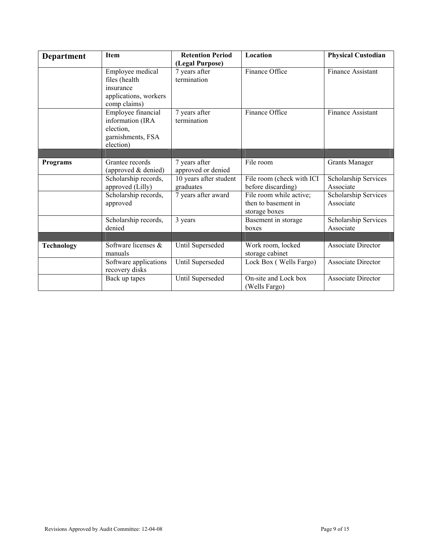| Department        | <b>Item</b>           | <b>Retention Period</b> | Location                  | <b>Physical Custodian</b> |
|-------------------|-----------------------|-------------------------|---------------------------|---------------------------|
|                   |                       | (Legal Purpose)         |                           |                           |
|                   | Employee medical      | 7 years after           | Finance Office            | Finance Assistant         |
|                   | files (health         | termination             |                           |                           |
|                   | insurance             |                         |                           |                           |
|                   | applications, workers |                         |                           |                           |
|                   | comp claims)          |                         |                           |                           |
|                   | Employee financial    | 7 years after           | Finance Office            | <b>Finance Assistant</b>  |
|                   | information (IRA      | termination             |                           |                           |
|                   | election,             |                         |                           |                           |
|                   | garnishments, FSA     |                         |                           |                           |
|                   | election)             |                         |                           |                           |
|                   |                       |                         |                           |                           |
| Programs          | Grantee records       | 7 years after           | File room                 | <b>Grants Manager</b>     |
|                   | (approved & denied)   | approved or denied      |                           |                           |
|                   | Scholarship records,  | 10 years after student  | File room (check with ICI | Scholarship Services      |
|                   | approved (Lilly)      | graduates               | before discarding)        | Associate                 |
|                   | Scholarship records,  | 7 years after award     | File room while active;   | Scholarship Services      |
|                   | approved              |                         | then to basement in       | Associate                 |
|                   |                       |                         | storage boxes             |                           |
|                   | Scholarship records,  | 3 years                 | Basement in storage       | Scholarship Services      |
|                   | denied                |                         | boxes                     | Associate                 |
|                   |                       |                         |                           |                           |
| <b>Technology</b> | Software licenses &   | Until Superseded        | Work room, locked         | <b>Associate Director</b> |
|                   | manuals               |                         | storage cabinet           |                           |
|                   | Software applications | Until Superseded        | Lock Box (Wells Fargo)    | <b>Associate Director</b> |
|                   | recovery disks        |                         |                           |                           |
|                   | Back up tapes         | Until Superseded        | On-site and Lock box      | Associate Director        |
|                   |                       |                         | (Wells Fargo)             |                           |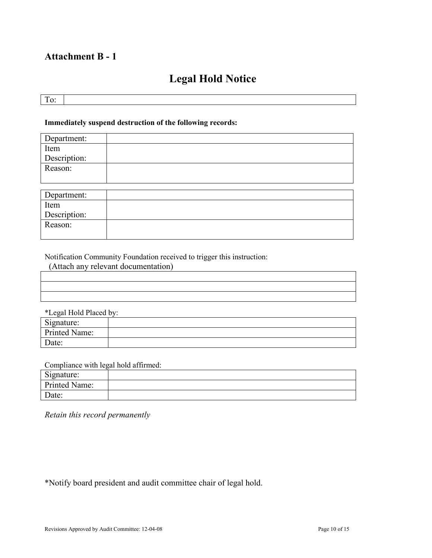# Attachment B - 1

# Legal Hold Notice

To:

#### Immediately suspend destruction of the following records:

| Department:          |  |
|----------------------|--|
| Item<br>Description: |  |
|                      |  |
| Reason:              |  |
|                      |  |
|                      |  |

| Department:  |  |
|--------------|--|
| Item         |  |
| Description: |  |
| Reason:      |  |
|              |  |

Notification Community Foundation received to trigger this instruction:

(Attach any relevant documentation)

| *Legal Hold Placed by: |  |
|------------------------|--|
| Signature:             |  |
| Printed Name:          |  |
| Date:                  |  |

Compliance with legal hold affirmed:

| . a.<br>Signature: |  |
|--------------------|--|
| Printed Name:      |  |
| Date:              |  |

Retain this record permanently

\*Notify board president and audit committee chair of legal hold.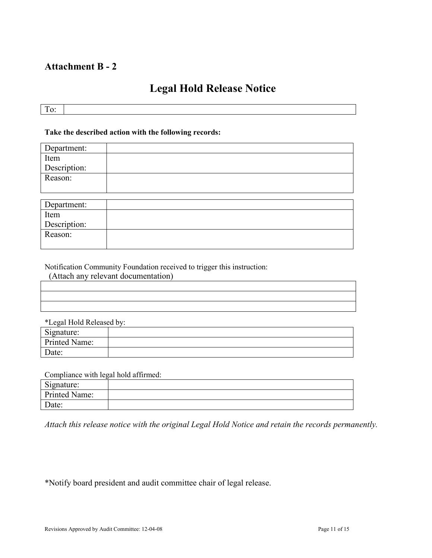## Attachment B - 2

# Legal Hold Release Notice

To:

#### Take the described action with the following records:

| Department:  |  |
|--------------|--|
| Item         |  |
| Description: |  |
| Reason:      |  |
|              |  |
|              |  |
| Department:  |  |
| Item         |  |
| Description: |  |
| Reason:      |  |

Notification Community Foundation received to trigger this instruction:

| (Attach any relevant documentation) |  |
|-------------------------------------|--|
|                                     |  |
|                                     |  |
|                                     |  |

|  | *Legal Hold Released by: |  |
|--|--------------------------|--|
|  |                          |  |

| Signature:    |  |
|---------------|--|
| Printed Name: |  |
| Date:         |  |

Compliance with legal hold affirmed:

| Signature:    |  |
|---------------|--|
| Printed Name: |  |
| Date:         |  |

Attach this release notice with the original Legal Hold Notice and retain the records permanently.

\*Notify board president and audit committee chair of legal release.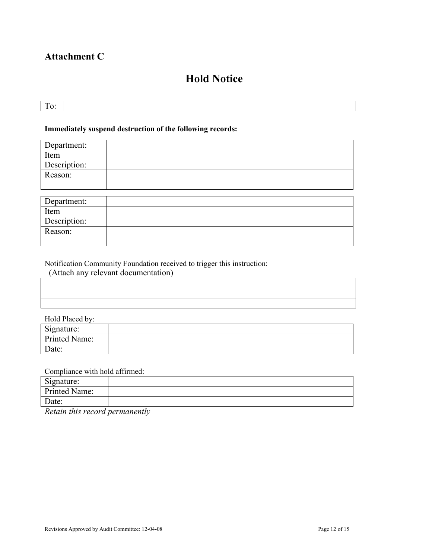# Attachment C

# Hold Notice

To:

#### Immediately suspend destruction of the following records:

| Department:  |  |
|--------------|--|
| Item         |  |
| Description: |  |
| Reason:      |  |
|              |  |
|              |  |
| Department:  |  |

| DUDALUILUIL. |  |
|--------------|--|
| Item         |  |
| Description: |  |
| Reason:      |  |

Notification Community Foundation received to trigger this instruction:

(Attach any relevant documentation)

| Hold Placed by: |  |  |
|-----------------|--|--|
| Signature:      |  |  |
| Printed Name:   |  |  |
| Date:           |  |  |

Compliance with hold affirmed:

| Signature:    |  |
|---------------|--|
| Printed Name: |  |
| Date:         |  |

Retain this record permanently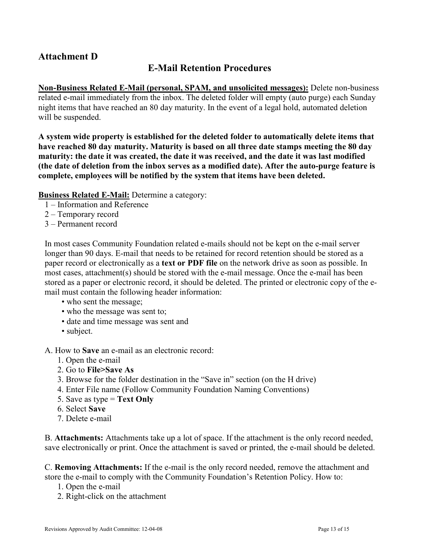# Attachment D

### E-Mail Retention Procedures

Non-Business Related E-Mail (personal, SPAM, and unsolicited messages): Delete non-business related e-mail immediately from the inbox. The deleted folder will empty (auto purge) each Sunday night items that have reached an 80 day maturity. In the event of a legal hold, automated deletion will be suspended.

A system wide property is established for the deleted folder to automatically delete items that have reached 80 day maturity. Maturity is based on all three date stamps meeting the 80 day maturity: the date it was created, the date it was received, and the date it was last modified (the date of deletion from the inbox serves as a modified date). After the auto-purge feature is complete, employees will be notified by the system that items have been deleted.

Business Related E-Mail: Determine a category:

- 1 Information and Reference
- 2 Temporary record
- 3 Permanent record

In most cases Community Foundation related e-mails should not be kept on the e-mail server longer than 90 days. E-mail that needs to be retained for record retention should be stored as a paper record or electronically as a text or PDF file on the network drive as soon as possible. In most cases, attachment(s) should be stored with the e-mail message. Once the e-mail has been stored as a paper or electronic record, it should be deleted. The printed or electronic copy of the email must contain the following header information:

- who sent the message;
- who the message was sent to;
- date and time message was sent and
- subject.

A. How to Save an e-mail as an electronic record:

- 1. Open the e-mail
- 2. Go to File>Save As
- 3. Browse for the folder destination in the "Save in" section (on the H drive)
- 4. Enter File name (Follow Community Foundation Naming Conventions)
- 5. Save as type  $=$  Text Only
- 6. Select Save
- 7. Delete e-mail

B. Attachments: Attachments take up a lot of space. If the attachment is the only record needed, save electronically or print. Once the attachment is saved or printed, the e-mail should be deleted.

C. Removing Attachments: If the e-mail is the only record needed, remove the attachment and store the e-mail to comply with the Community Foundation's Retention Policy. How to:

- 1. Open the e-mail
- 2. Right-click on the attachment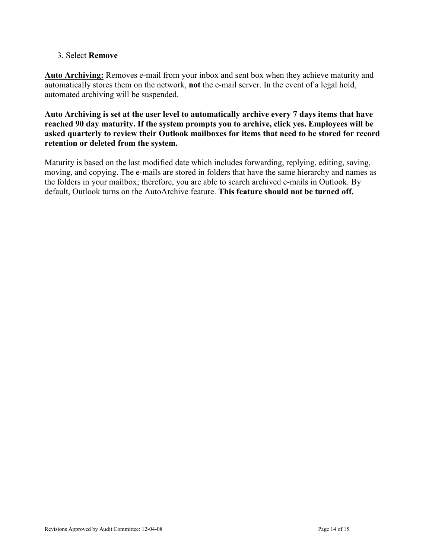#### 3. Select Remove

Auto Archiving: Removes e-mail from your inbox and sent box when they achieve maturity and automatically stores them on the network, not the e-mail server. In the event of a legal hold, automated archiving will be suspended.

Auto Archiving is set at the user level to automatically archive every 7 days items that have reached 90 day maturity. If the system prompts you to archive, click yes. Employees will be asked quarterly to review their Outlook mailboxes for items that need to be stored for record retention or deleted from the system.

Maturity is based on the last modified date which includes forwarding, replying, editing, saving, moving, and copying. The e-mails are stored in folders that have the same hierarchy and names as the folders in your mailbox; therefore, you are able to search archived e-mails in Outlook. By default, Outlook turns on the AutoArchive feature. This feature should not be turned off.